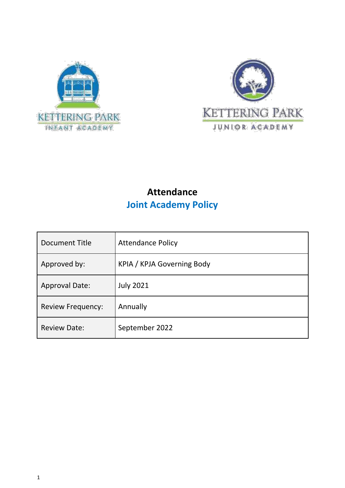



## **Attendance Joint Academy Policy**

| Document Title           | <b>Attendance Policy</b>   |  |
|--------------------------|----------------------------|--|
| Approved by:             | KPIA / KPJA Governing Body |  |
| <b>Approval Date:</b>    | <b>July 2021</b>           |  |
| <b>Review Frequency:</b> | Annually                   |  |
| <b>Review Date:</b>      | September 2022             |  |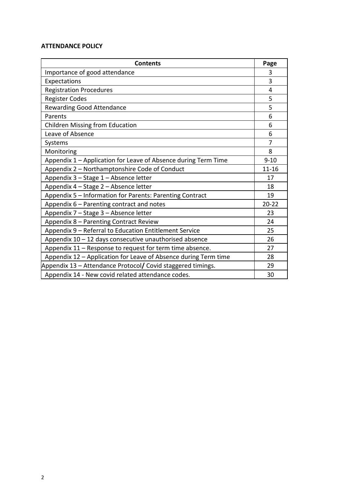#### **ATTENDANCE POLICY**

| <b>Contents</b>                                                 | Page           |
|-----------------------------------------------------------------|----------------|
| Importance of good attendance                                   | 3              |
| Expectations                                                    | $\overline{3}$ |
| <b>Registration Procedures</b>                                  | 4              |
| <b>Register Codes</b>                                           | 5              |
| <b>Rewarding Good Attendance</b>                                | 5              |
| Parents                                                         | 6              |
| <b>Children Missing from Education</b>                          | 6              |
| Leave of Absence                                                | 6              |
| Systems                                                         | 7              |
| Monitoring                                                      | 8              |
| Appendix 1 - Application for Leave of Absence during Term Time  | $9 - 10$       |
| Appendix 2 - Northamptonshire Code of Conduct                   | $11 - 16$      |
| Appendix 3 - Stage 1 - Absence letter                           | 17             |
| Appendix 4 - Stage 2 - Absence letter                           | 18             |
| Appendix 5 - Information for Parents: Parenting Contract        | 19             |
| Appendix 6 - Parenting contract and notes                       | $20 - 22$      |
| Appendix 7 - Stage 3 - Absence letter                           | 23             |
| Appendix 8 - Parenting Contract Review                          | 24             |
| Appendix 9 - Referral to Education Entitlement Service          | 25             |
| Appendix $10 - 12$ days consecutive unauthorised absence        |                |
| Appendix 11 - Response to request for term time absence.        | 27             |
| Appendix 12 - Application for Leave of Absence during Term time | 28             |
| Appendix 13 - Attendance Protocol/ Covid staggered timings.     | 29             |
| Appendix 14 - New covid related attendance codes.               | 30             |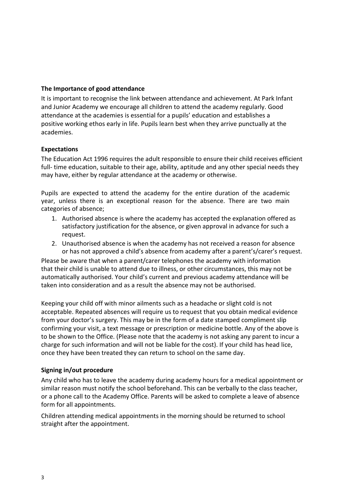## **The Importance of good attendance**

It is important to recognise the link between attendance and achievement. At Park Infant and Junior Academy we encourage all children to attend the academy regularly. Good attendance at the academies is essential for a pupils' education and establishes a positive working ethos early in life. Pupils learn best when they arrive punctually at the academies.

## **Expectations**

The Education Act 1996 requires the adult responsible to ensure their child receives efficient full- time education, suitable to their age, ability, aptitude and any other special needs they may have, either by regular attendance at the academy or otherwise.

Pupils are expected to attend the academy for the entire duration of the academic year, unless there is an exceptional reason for the absence. There are two main categories of absence;

- 1. Authorised absence is where the academy has accepted the explanation offered as satisfactory justification for the absence, or given approval in advance for such a request.
- 2. Unauthorised absence is when the academy has not received a reason for absence or has not approved a child's absence from academy after a parent's/carer's request.

Please be aware that when a parent/carer telephones the academy with information that their child is unable to attend due to illness, or other circumstances, this may not be automatically authorised. Your child's current and previous academy attendance will be taken into consideration and as a result the absence may not be authorised.

Keeping your child off with minor ailments such as a headache or slight cold is not acceptable. Repeated absences will require us to request that you obtain medical evidence from your doctor's surgery. This may be in the form of a date stamped compliment slip confirming your visit, a text message or prescription or medicine bottle. Any of the above is to be shown to the Office. (Please note that the academy is not asking any parent to incur a charge for such information and will not be liable for the cost). If your child has head lice, once they have been treated they can return to school on the same day.

#### **Signing in/out procedure**

Any child who has to leave the academy during academy hours for a medical appointment or similar reason must notify the school beforehand. This can be verbally to the class teacher, or a phone call to the Academy Office. Parents will be asked to complete a leave of absence form for all appointments.

Children attending medical appointments in the morning should be returned to school straight after the appointment.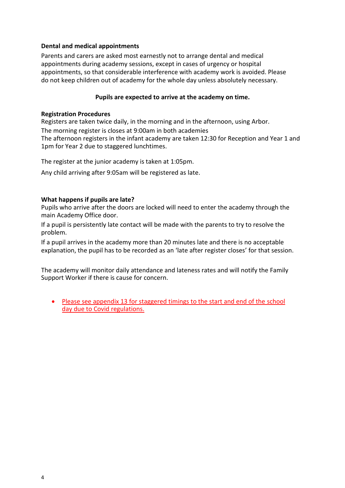#### **Dental and medical appointments**

Parents and carers are asked most earnestly not to arrange dental and medical appointments during academy sessions, except in cases of urgency or hospital appointments, so that considerable interference with academy work is avoided. Please do not keep children out of academy for the whole day unless absolutely necessary.

## **Pupils are expected to arrive at the academy on time.**

#### **Registration Procedures**

Registers are taken twice daily, in the morning and in the afternoon, using Arbor.

The morning register is closes at 9:00am in both academies

The afternoon registers in the infant academy are taken 12:30 for Reception and Year 1 and 1pm for Year 2 due to staggered lunchtimes.

The register at the junior academy is taken at 1:05pm.

Any child arriving after 9:05am will be registered as late.

#### **What happens if pupils are late?**

Pupils who arrive after the doors are locked will need to enter the academy through the main Academy Office door.

If a pupil is persistently late contact will be made with the parents to try to resolve the problem.

If a pupil arrives in the academy more than 20 minutes late and there is no acceptable explanation, the pupil has to be recorded as an 'late after register closes' for that session.

The academy will monitor daily attendance and lateness rates and will notify the Family Support Worker if there is cause for concern.

 Please see appendix 13 for staggered timings to the start and end of the school day due to Covid regulations.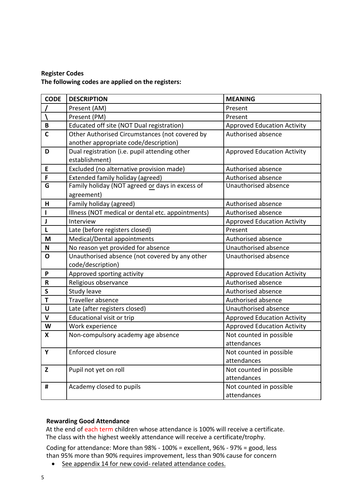## **Register Codes The following codes are applied on the registers:**

| <b>CODE</b>               | <b>DESCRIPTION</b>                                | <b>MEANING</b>                     |
|---------------------------|---------------------------------------------------|------------------------------------|
|                           | Present (AM)                                      | Present                            |
|                           | Present (PM)                                      | Present                            |
| B                         | Educated off site (NOT Dual registration)         | <b>Approved Education Activity</b> |
| C                         | Other Authorised Circumstances (not covered by    | Authorised absence                 |
|                           | another appropriate code/description)             |                                    |
| D                         | Dual registration (i.e. pupil attending other     | <b>Approved Education Activity</b> |
|                           | establishment)                                    |                                    |
| E                         | Excluded (no alternative provision made)          | Authorised absence                 |
| F                         | <b>Extended family holiday (agreed)</b>           | Authorised absence                 |
| G                         | Family holiday (NOT agreed or days in excess of   | Unauthorised absence               |
|                           | agreement)                                        |                                    |
| H                         | Family holiday (agreed)                           | Authorised absence                 |
|                           | Illness (NOT medical or dental etc. appointments) | Authorised absence                 |
| J                         | Interview                                         | <b>Approved Education Activity</b> |
| L                         | Late (before registers closed)                    | Present                            |
| M                         | Medical/Dental appointments                       | Authorised absence                 |
| $\boldsymbol{\mathsf{N}}$ | No reason yet provided for absence                | Unauthorised absence               |
| O                         | Unauthorised absence (not covered by any other    | Unauthorised absence               |
|                           | code/description)                                 |                                    |
| P                         | Approved sporting activity                        | <b>Approved Education Activity</b> |
| $\mathbf R$               | Religious observance                              | Authorised absence                 |
| $\mathsf{s}$              | Study leave                                       | Authorised absence                 |
| T                         | Traveller absence                                 | Authorised absence                 |
| U                         | Late (after registers closed)                     | Unauthorised absence               |
| V                         | <b>Educational visit or trip</b>                  | <b>Approved Education Activity</b> |
| W                         | Work experience                                   | <b>Approved Education Activity</b> |
| X                         | Non-compulsory academy age absence                | Not counted in possible            |
|                           |                                                   | attendances                        |
| Y                         | Enforced closure                                  | Not counted in possible            |
|                           |                                                   | attendances                        |
| Z                         | Pupil not yet on roll                             | Not counted in possible            |
|                           |                                                   | attendances                        |
| #                         | Academy closed to pupils                          | Not counted in possible            |
|                           |                                                   | attendances                        |

#### **Rewarding Good Attendance**

 At the end of each term children whose attendance is 100% will receive a certificate. The class with the highest weekly attendance will receive a certificate/trophy.

Coding for attendance: More than 98% - 100% = excellent, 96% - 97% = good, less than 95% more than 90% requires improvement, less than 90% cause for concern

• See appendix 14 for new covid- related attendance codes.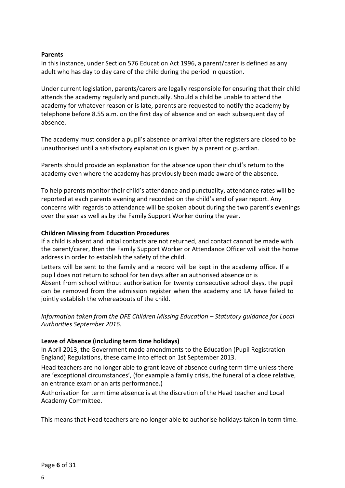#### **Parents**

In this instance, under Section 576 Education Act 1996, a parent/carer is defined as any adult who has day to day care of the child during the period in question.

Under current legislation, parents/carers are legally responsible for ensuring that their child attends the academy regularly and punctually. Should a child be unable to attend the academy for whatever reason or is late, parents are requested to notify the academy by telephone before 8.55 a.m. on the first day of absence and on each subsequent day of absence.

The academy must consider a pupil's absence or arrival after the registers are closed to be unauthorised until a satisfactory explanation is given by a parent or guardian.

Parents should provide an explanation for the absence upon their child's return to the academy even where the academy has previously been made aware of the absence.

To help parents monitor their child's attendance and punctuality, attendance rates will be reported at each parents evening and recorded on the child's end of year report. Any concerns with regards to attendance will be spoken about during the two parent's evenings over the year as well as by the Family Support Worker during the year.

#### **Children Missing from Education Procedures**

If a child is absent and initial contacts are not returned, and contact cannot be made with the parent/carer, then the Family Support Worker or Attendance Officer will visit the home address in order to establish the safety of the child.

Letters will be sent to the family and a record will be kept in the academy office. If a pupil does not return to school for ten days after an authorised absence or is Absent from school without authorisation for twenty consecutive school days, the pupil can be removed from the admission register when the academy and LA have failed to jointly establish the whereabouts of the child.

*Information taken from the DFE Children Missing Education – Statutory guidance for Local Authorities September 2016.* 

#### **Leave of Absence (including term time holidays)**

In April 2013, the Government made amendments to the Education (Pupil Registration England) Regulations, these came into effect on 1st September 2013.

Head teachers are no longer able to grant leave of absence during term time unless there are 'exceptional circumstances', (for example a family crisis, the funeral of a close relative, an entrance exam or an arts performance.)

Authorisation for term time absence is at the discretion of the Head teacher and Local Academy Committee.

This means that Head teachers are no longer able to authorise holidays taken in term time.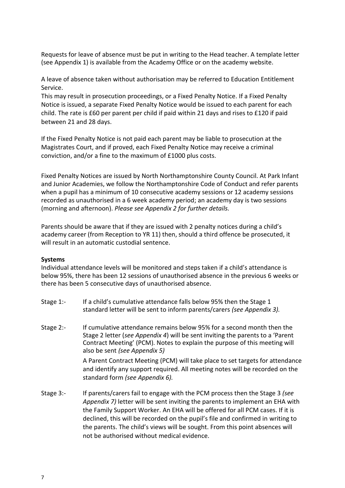Requests for leave of absence must be put in writing to the Head teacher. A template letter (see Appendix 1) is available from the Academy Office or on the academy website.

A leave of absence taken without authorisation may be referred to Education Entitlement Service.

This may result in prosecution proceedings, or a Fixed Penalty Notice. If a Fixed Penalty Notice is issued, a separate Fixed Penalty Notice would be issued to each parent for each child. The rate is £60 per parent per child if paid within 21 days and rises to £120 if paid between 21 and 28 days.

If the Fixed Penalty Notice is not paid each parent may be liable to prosecution at the Magistrates Court, and if proved, each Fixed Penalty Notice may receive a criminal conviction, and/or a fine to the maximum of £1000 plus costs.

Fixed Penalty Notices are issued by North Northamptonshire County Council. At Park Infant and Junior Academies, we follow the Northamptonshire Code of Conduct and refer parents when a pupil has a minimum of 10 consecutive academy sessions or 12 academy sessions recorded as unauthorised in a 6 week academy period; an academy day is two sessions (morning and afternoon). *Please see Appendix 2 for further details.*

Parents should be aware that if they are issued with 2 penalty notices during a child's academy career (from Reception to YR 11) then, should a third offence be prosecuted, it will result in an automatic custodial sentence.

#### **Systems**

Individual attendance levels will be monitored and steps taken if a child's attendance is below 95%, there has been 12 sessions of unauthorised absence in the previous 6 weeks or there has been 5 consecutive days of unauthorised absence.

- Stage 1:- If a child's cumulative attendance falls below 95% then the Stage 1 standard letter will be sent to inform parents/carers *(see Appendix 3).*
- Stage 2:- If cumulative attendance remains below 95% for a second month then the Stage 2 letter (*see Appendix 4*) will be sent inviting the parents to a 'Parent Contract Meeting' (PCM). Notes to explain the purpose of this meeting will also be sent *(see Appendix 5)*

A Parent Contract Meeting (PCM) will take place to set targets for attendance and identify any support required. All meeting notes will be recorded on the standard form *(see Appendix 6).*

Stage 3:- If parents/carers fail to engage with the PCM process then the Stage 3 *(see Appendix 7)* letter will be sent inviting the parents to implement an EHA with the Family Support Worker. An EHA will be offered for all PCM cases. If it is declined, this will be recorded on the pupil's file and confirmed in writing to the parents. The child's views will be sought. From this point absences will not be authorised without medical evidence.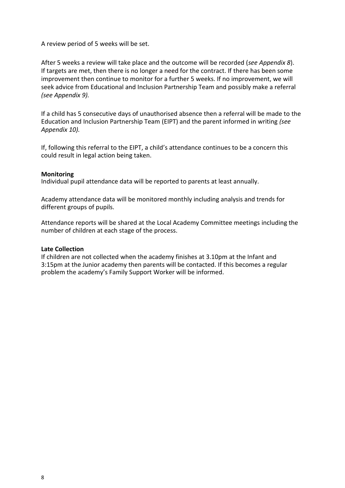A review period of 5 weeks will be set.

After 5 weeks a review will take place and the outcome will be recorded (*see Appendix 8*). If targets are met, then there is no longer a need for the contract. If there has been some improvement then continue to monitor for a further 5 weeks. If no improvement, we will seek advice from Educational and Inclusion Partnership Team and possibly make a referral *(see Appendix 9).*

If a child has 5 consecutive days of unauthorised absence then a referral will be made to the Education and Inclusion Partnership Team (EIPT) and the parent informed in writing *(see Appendix 10).*

If, following this referral to the EIPT, a child's attendance continues to be a concern this could result in legal action being taken.

#### **Monitoring**

Individual pupil attendance data will be reported to parents at least annually.

Academy attendance data will be monitored monthly including analysis and trends for different groups of pupils.

Attendance reports will be shared at the Local Academy Committee meetings including the number of children at each stage of the process.

#### **Late Collection**

If children are not collected when the academy finishes at 3.10pm at the Infant and 3:15pm at the Junior academy then parents will be contacted. If this becomes a regular problem the academy's Family Support Worker will be informed.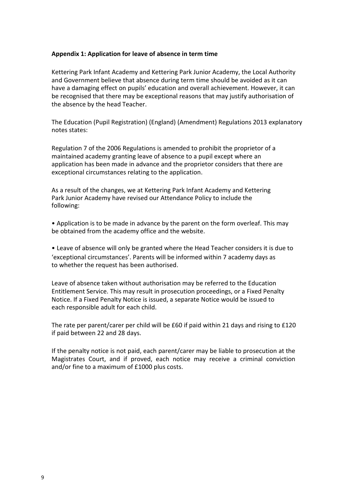#### **Appendix 1: Application for leave of absence in term time**

Kettering Park Infant Academy and Kettering Park Junior Academy, the Local Authority and Government believe that absence during term time should be avoided as it can have a damaging effect on pupils' education and overall achievement. However, it can be recognised that there may be exceptional reasons that may justify authorisation of the absence by the head Teacher.

The Education (Pupil Registration) (England) (Amendment) Regulations 2013 explanatory notes states:

Regulation 7 of the 2006 Regulations is amended to prohibit the proprietor of a maintained academy granting leave of absence to a pupil except where an application has been made in advance and the proprietor considers that there are exceptional circumstances relating to the application.

As a result of the changes, we at Kettering Park Infant Academy and Kettering Park Junior Academy have revised our Attendance Policy to include the following:

• Application is to be made in advance by the parent on the form overleaf. This may be obtained from the academy office and the website.

• Leave of absence will only be granted where the Head Teacher considers it is due to 'exceptional circumstances'. Parents will be informed within 7 academy days as to whether the request has been authorised.

Leave of absence taken without authorisation may be referred to the Education Entitlement Service. This may result in prosecution proceedings, or a Fixed Penalty Notice. If a Fixed Penalty Notice is issued, a separate Notice would be issued to each responsible adult for each child.

The rate per parent/carer per child will be £60 if paid within 21 days and rising to £120 if paid between 22 and 28 days.

If the penalty notice is not paid, each parent/carer may be liable to prosecution at the Magistrates Court, and if proved, each notice may receive a criminal conviction and/or fine to a maximum of £1000 plus costs.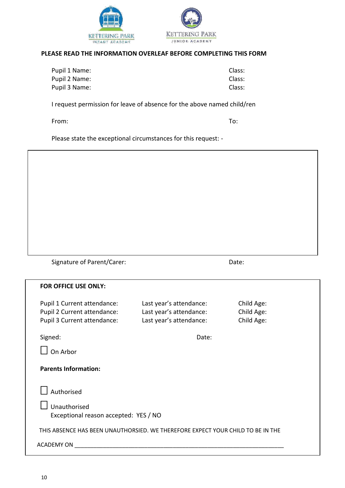



#### **PLEASE READ THE INFORMATION OVERLEAF BEFORE COMPLETING THIS FORM**

| Pupil 1 Name: | Class: |
|---------------|--------|
| Pupil 2 Name: | Class: |
| Pupil 3 Name: | Class: |

I request permission for leave of absence for the above named child/ren

From: To:

Please state the exceptional circumstances for this request: -

Signature of Parent/Carer: Date: Date:

| <b>FOR OFFICE USE ONLY:</b>                                                     |                                                    |                          |
|---------------------------------------------------------------------------------|----------------------------------------------------|--------------------------|
| Pupil 1 Current attendance:                                                     | Last year's attendance:                            | Child Age:               |
| Pupil 2 Current attendance:<br>Pupil 3 Current attendance:                      | Last year's attendance:<br>Last year's attendance: | Child Age:<br>Child Age: |
|                                                                                 |                                                    |                          |
| Signed:                                                                         | Date:                                              |                          |
| On Arbor                                                                        |                                                    |                          |
| <b>Parents Information:</b><br>Authorised                                       |                                                    |                          |
|                                                                                 |                                                    |                          |
| Unauthorised<br>Exceptional reason accepted: YES / NO                           |                                                    |                          |
| THIS ABSENCE HAS BEEN UNAUTHORSIED. WE THEREFORE EXPECT YOUR CHILD TO BE IN THE |                                                    |                          |
| <b>ACADEMY ON</b>                                                               |                                                    |                          |
|                                                                                 |                                                    |                          |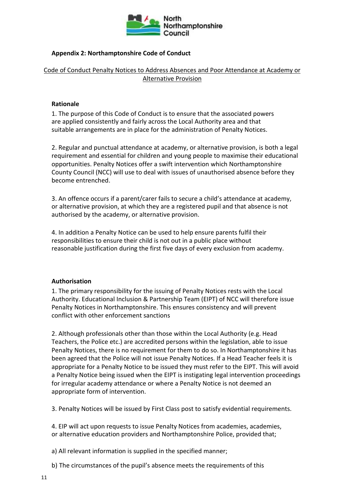

## **Appendix 2: Northamptonshire Code of Conduct**

## Code of Conduct Penalty Notices to Address Absences and Poor Attendance at Academy or Alternative Provision

#### **Rationale**

1. The purpose of this Code of Conduct is to ensure that the associated powers are applied consistently and fairly across the Local Authority area and that suitable arrangements are in place for the administration of Penalty Notices.

2. Regular and punctual attendance at academy, or alternative provision, is both a legal requirement and essential for children and young people to maximise their educational opportunities. Penalty Notices offer a swift intervention which Northamptonshire County Council (NCC) will use to deal with issues of unauthorised absence before they become entrenched.

3. An offence occurs if a parent/carer fails to secure a child's attendance at academy, or alternative provision, at which they are a registered pupil and that absence is not authorised by the academy, or alternative provision.

4. In addition a Penalty Notice can be used to help ensure parents fulfil their responsibilities to ensure their child is not out in a public place without reasonable justification during the first five days of every exclusion from academy.

#### **Authorisation**

1. The primary responsibility for the issuing of Penalty Notices rests with the Local Authority. Educational Inclusion & Partnership Team (EIPT) of NCC will therefore issue Penalty Notices in Northamptonshire. This ensures consistency and will prevent conflict with other enforcement sanctions

2. Although professionals other than those within the Local Authority (e.g. Head Teachers, the Police etc.) are accredited persons within the legislation, able to issue Penalty Notices, there is no requirement for them to do so. In Northamptonshire it has been agreed that the Police will not issue Penalty Notices. If a Head Teacher feels it is appropriate for a Penalty Notice to be issued they must refer to the EIPT. This will avoid a Penalty Notice being issued when the EIPT is instigating legal intervention proceedings for irregular academy attendance or where a Penalty Notice is not deemed an appropriate form of intervention.

3. Penalty Notices will be issued by First Class post to satisfy evidential requirements.

4. EIP will act upon requests to issue Penalty Notices from academies, academies, or alternative education providers and Northamptonshire Police, provided that;

a) All relevant information is supplied in the specified manner;

b) The circumstances of the pupil's absence meets the requirements of this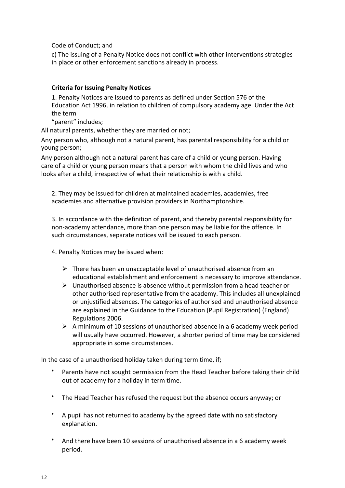Code of Conduct; and

c) The issuing of a Penalty Notice does not conflict with other interventions strategies in place or other enforcement sanctions already in process.

## **Criteria for Issuing Penalty Notices**

1. Penalty Notices are issued to parents as defined under Section 576 of the Education Act 1996, in relation to children of compulsory academy age. Under the Act the term

"parent" includes;

All natural parents, whether they are married or not;

Any person who, although not a natural parent, has parental responsibility for a child or young person;

Any person although not a natural parent has care of a child or young person. Having care of a child or young person means that a person with whom the child lives and who looks after a child, irrespective of what their relationship is with a child.

2. They may be issued for children at maintained academies, academies, free academies and alternative provision providers in Northamptonshire.

3. In accordance with the definition of parent, and thereby parental responsibility for non-academy attendance, more than one person may be liable for the offence. In such circumstances, separate notices will be issued to each person.

4. Penalty Notices may be issued when:

- $\triangleright$  There has been an unacceptable level of unauthorised absence from an educational establishment and enforcement is necessary to improve attendance.
- $\triangleright$  Unauthorised absence is absence without permission from a head teacher or other authorised representative from the academy. This includes all unexplained or unjustified absences. The categories of authorised and unauthorised absence are explained in the Guidance to the Education (Pupil Registration) (England) Regulations 2006.
- $\triangleright$  A minimum of 10 sessions of unauthorised absence in a 6 academy week period will usually have occurred. However, a shorter period of time may be considered appropriate in some circumstances.

In the case of a unauthorised holiday taken during term time, if;

- Parents have not sought permission from the Head Teacher before taking their child out of academy for a holiday in term time.
- The Head Teacher has refused the request but the absence occurs anyway; or
- A pupil has not returned to academy by the agreed date with no satisfactory explanation.
- And there have been 10 sessions of unauthorised absence in a 6 academy week period.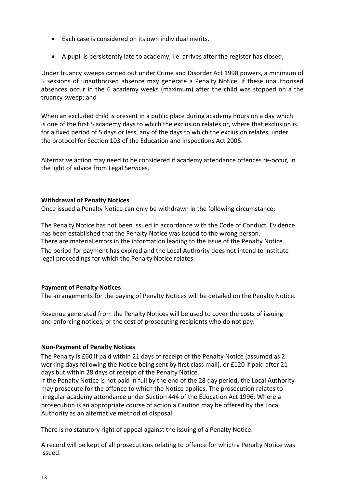- Each case is considered on its own individual merits**.**
- A pupil is persistently late to academy, i.e. arrives after the register has closed;

Under truancy sweeps carried out under Crime and Disorder Act 1998 powers, a minimum of 5 sessions of unauthorised absence may generate a Penalty Notice, if these unauthorised absences occur in the 6 academy weeks (maximum) after the child was stopped on a the truancy sweep; and

When an excluded child is present in a public place during academy hours on a day which is one of the first 5 academy days to which the exclusion relates or, where that exclusion is for a fixed period of 5 days or less, any of the days to which the exclusion relates, under the protocol for Section 103 of the Education and Inspections Act 2006.

Alternative action may need to be considered if academy attendance offences re-occur, in the light of advice from Legal Services.

## **Withdrawal of Penalty Notices**

Once issued a Penalty Notice can only be withdrawn in the following circumstance;

The Penalty Notice has not been issued in accordance with the Code of Conduct. Evidence has been established that the Penalty Notice was issued to the wrong person. There are material errors in the information leading to the issue of the Penalty Notice.

The period for payment has expired and the Local Authority does not intend to institute legal proceedings for which the Penalty Notice relates.

#### **Payment of Penalty Notices**

The arrangements for the paying of Penalty Notices will be detailed on the Penalty Notice.

Revenue generated from the Penalty Notices will be used to cover the costs of issuing and enforcing notices, or the cost of prosecuting recipients who do not pay.

#### **Non-Payment of Penalty Notices**

The Penalty is £60 if paid within 21 days of receipt of the Penalty Notice (assumed as 2 working days following the Notice being sent by first class mail), or £120 if paid after 21 days but within 28 days of receipt of the Penalty Notice.

If the Penalty Notice is not paid in full by the end of the 28 day period, the Local Authority may prosecute for the offence to which the Notice applies. The prosecution relates to irregular academy attendance under Section 444 of the Education Act 1996. Where a prosecution is an appropriate course of action a Caution may be offered by the Local Authority as an alternative method of disposal.

There is no statutory right of appeal against the issuing of a Penalty Notice.

A record will be kept of all prosecutions relating to offence for which a Penalty Notice was issued.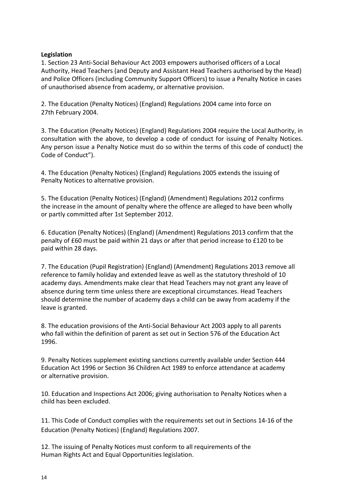## **Legislation**

1. Section 23 Anti-Social Behaviour Act 2003 empowers authorised officers of a Local Authority, Head Teachers (and Deputy and Assistant Head Teachers authorised by the Head) and Police Officers (including Community Support Officers) to issue a Penalty Notice in cases of unauthorised absence from academy, or alternative provision.

2. The Education (Penalty Notices) (England) Regulations 2004 came into force on 27th February 2004.

3. The Education (Penalty Notices) (England) Regulations 2004 require the Local Authority, in consultation with the above, to develop a code of conduct for issuing of Penalty Notices. Any person issue a Penalty Notice must do so within the terms of this code of conduct) the Code of Conduct").

4. The Education (Penalty Notices) (England) Regulations 2005 extends the issuing of Penalty Notices to alternative provision.

5. The Education (Penalty Notices) (England) (Amendment) Regulations 2012 confirms the increase in the amount of penalty where the offence are alleged to have been wholly or partly committed after 1st September 2012.

6. Education (Penalty Notices) (England) (Amendment) Regulations 2013 confirm that the penalty of £60 must be paid within 21 days or after that period increase to £120 to be paid within 28 days.

7. The Education (Pupil Registration) (England) (Amendment) Regulations 2013 remove all reference to family holiday and extended leave as well as the statutory threshold of 10 academy days. Amendments make clear that Head Teachers may not grant any leave of absence during term time unless there are exceptional circumstances. Head Teachers should determine the number of academy days a child can be away from academy if the leave is granted.

8. The education provisions of the Anti-Social Behaviour Act 2003 apply to all parents who fall within the definition of parent as set out in Section 576 of the Education Act 1996.

9. Penalty Notices supplement existing sanctions currently available under Section 444 Education Act 1996 or Section 36 Children Act 1989 to enforce attendance at academy or alternative provision.

10. Education and Inspections Act 2006; giving authorisation to Penalty Notices when a child has been excluded.

11. This Code of Conduct complies with the requirements set out in Sections 14-16 of the Education (Penalty Notices) (England) Regulations 2007.

12. The issuing of Penalty Notices must conform to all requirements of the Human Rights Act and Equal Opportunities legislation.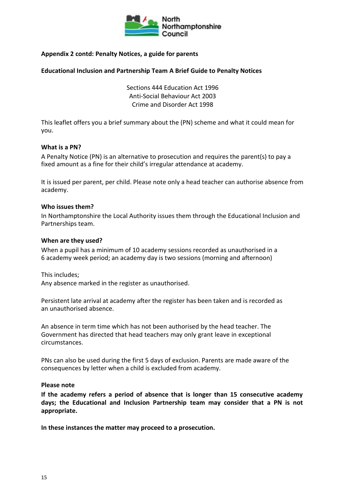

## **Appendix 2 contd: Penalty Notices, a guide for parents**

#### **Educational Inclusion and Partnership Team A Brief Guide to Penalty Notices**

Sections 444 Education Act 1996 Anti-Social Behaviour Act 2003 Crime and Disorder Act 1998

This leaflet offers you a brief summary about the (PN) scheme and what it could mean for you.

#### **What is a PN?**

A Penalty Notice (PN) is an alternative to prosecution and requires the parent(s) to pay a fixed amount as a fine for their child's irregular attendance at academy.

It is issued per parent, per child. Please note only a head teacher can authorise absence from academy.

#### **Who issues them?**

In Northamptonshire the Local Authority issues them through the Educational Inclusion and Partnerships team.

#### **When are they used?**

When a pupil has a minimum of 10 academy sessions recorded as unauthorised in a 6 academy week period; an academy day is two sessions (morning and afternoon)

This includes;

Any absence marked in the register as unauthorised.

Persistent late arrival at academy after the register has been taken and is recorded as an unauthorised absence.

An absence in term time which has not been authorised by the head teacher. The Government has directed that head teachers may only grant leave in exceptional circumstances.

PNs can also be used during the first 5 days of exclusion. Parents are made aware of the consequences by letter when a child is excluded from academy.

#### **Please note**

**If the academy refers a period of absence that is longer than 15 consecutive academy days; the Educational and Inclusion Partnership team may consider that a PN is not appropriate.**

**In these instances the matter may proceed to a prosecution.**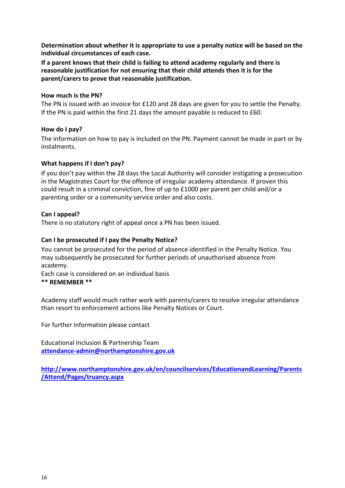**Determination about whether it is appropriate to use a penalty notice will be based on the individual circumstances of each case.**

**If a parent knows that their child is failing to attend academy regularly and there is reasonable justification for not ensuring that their child attends then it is for the parent/carers to prove that reasonable justification.**

#### **How much is the PN?**

The PN is issued with an invoice for £120 and 28 days are given for you to settle the Penalty. If the PN is paid within the first 21 days the amount payable is reduced to £60.

#### **How do I pay?**

The information on how to pay is included on the PN. Payment cannot be made in part or by instalments.

## **What happens if I don't pay?**

If you don't pay within the 28 days the Local Authority will consider instigating a prosecution in the Magistrates Court for the offence of irregular academy attendance. If proven this could result in a criminal conviction, fine of up to £1000 per parent per child and/or a parenting order or a community service order and also costs.

## **Can I appeal?**

There is no statutory right of appeal once a PN has been issued.

## **Can I be prosecuted if I pay the Penalty Notice?**

You cannot be prosecuted for the period of absence identified in the Penalty Notice. You may subsequently be prosecuted for further periods of unauthorised absence from academy.

Each case is considered on an individual basis

## **\*\* REMEMBER \*\***

Academy staff would much rather work with parents/carers to resolve irregular attendance than resort to enforcement actions like Penalty Notices or Court.

For further information please contact

Educational Inclusion & Partnership Team **[attendance-admin@northamptonshire.gov.uk](mailto:attendance-admin@northamptonshire.gov.uk)**

**[http://www.northamptonshire.gov.uk/en/councilservices/EducationandLearning/Parents](http://www.northamptonshire.gov.uk/en/councilservices/EducationandLearning/Parents/Attend/Pages/truancy.aspx) [/Attend/Pages/truancy.aspx](http://www.northamptonshire.gov.uk/en/councilservices/EducationandLearning/Parents/Attend/Pages/truancy.aspx)**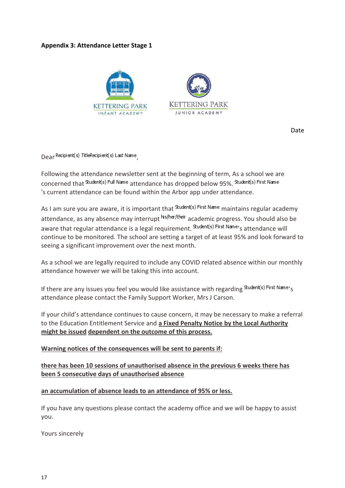## **Appendix 3: Attendance Letter Stage 1**



Date

Dear Recipient(s) TitleRecipient(s) Last Name

Following the attendance newsletter sent at the beginning of term, As a school we are concerned that Student(s) Full Name attendance has dropped below 95%. Student(s) First Name 's current attendance can be found within the Arbor app under attendance.

As I am sure you are aware, it is important that student(s) First Name maintains regular academy attendance, as any absence may interrupt his/her/their academic progress. You should also be aware that regular attendance is a legal requirement. Student(s) First Name's attendance will continue to be monitored. The school are setting a target of at least 95% and look forward to seeing a significant improvement over the next month.

As a school we are legally required to include any COVID related absence within our monthly attendance however we will be taking this into account.

If there are any issues you feel you would like assistance with regarding Student(s) First Name's attendance please contact the Family Support Worker, Mrs J Carson.

If your child's attendance continues to cause concern, it may be necessary to make a referral to the Education Entitlement Service and **a Fixed Penalty Notice by the Local Authority might be issued dependent on the outcome of this process.**

#### **Warning notices of the consequences will be sent to parents if:**

## **there has been 10 sessions of unauthorised absence in the previous 6 weeks there has been 5 consecutive days of unauthorised absence**

#### **an accumulation of absence leads to an attendance of 95% or less.**

If you have any questions please contact the academy office and we will be happy to assist you.

Yours sincerely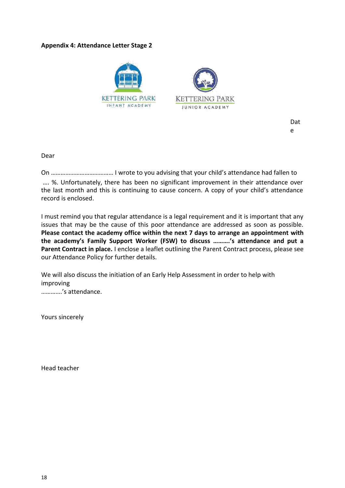## **Appendix 4: Attendance Letter Stage 2**



Dat e

Dear

On ………………………………… I wrote to you advising that your child's attendance had fallen to

…. %. Unfortunately, there has been no significant improvement in their attendance over the last month and this is continuing to cause concern. A copy of your child's attendance record is enclosed.

I must remind you that regular attendance is a legal requirement and it is important that any issues that may be the cause of this poor attendance are addressed as soon as possible. **Please contact the academy office within the next 7 days to arrange an appointment with the academy's Family Support Worker (FSW) to discuss ……….'s attendance and put a Parent Contract in place.** I enclose a leaflet outlining the Parent Contract process, please see our Attendance Policy for further details.

We will also discuss the initiation of an Early Help Assessment in order to help with improving ………….'s attendance.

Yours sincerely

Head teacher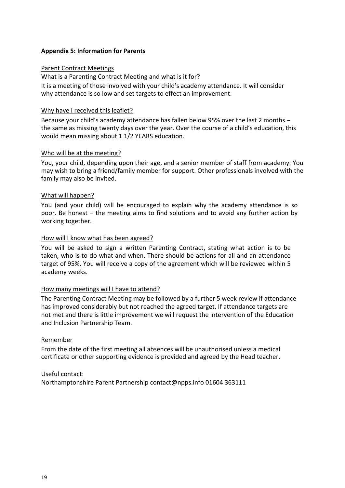### **Appendix 5: Information for Parents**

#### Parent Contract Meetings

What is a Parenting Contract Meeting and what is it for?

It is a meeting of those involved with your child's academy attendance. It will consider why attendance is so low and set targets to effect an improvement.

#### Why have I received this leaflet?

Because your child's academy attendance has fallen below 95% over the last 2 months – the same as missing twenty days over the year. Over the course of a child's education, this would mean missing about 1 1/2 YEARS education.

#### Who will be at the meeting?

You, your child, depending upon their age, and a senior member of staff from academy. You may wish to bring a friend/family member for support. Other professionals involved with the family may also be invited.

#### What will happen?

You (and your child) will be encouraged to explain why the academy attendance is so poor. Be honest – the meeting aims to find solutions and to avoid any further action by working together.

#### How will I know what has been agreed?

You will be asked to sign a written Parenting Contract, stating what action is to be taken, who is to do what and when. There should be actions for all and an attendance target of 95%. You will receive a copy of the agreement which will be reviewed within 5 academy weeks.

#### How many meetings will I have to attend?

The Parenting Contract Meeting may be followed by a further 5 week review if attendance has improved considerably but not reached the agreed target. If attendance targets are not met and there is little improvement we will request the intervention of the Education and Inclusion Partnership Team.

#### Remember

From the date of the first meeting all absences will be unauthorised unless a medical certificate or other supporting evidence is provided and agreed by the Head teacher.

Useful contact:

Northamptonshire Parent Partnership contact@npps.info 01604 363111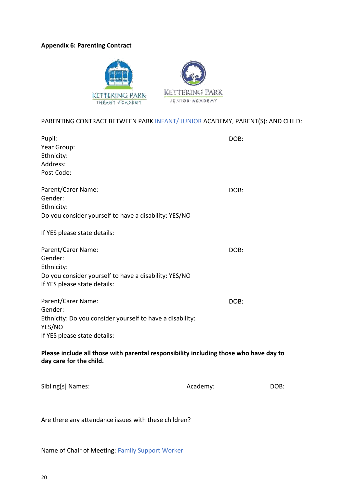#### **Appendix 6: Parenting Contract**



### PARENTING CONTRACT BETWEEN PARK INFANT/ JUNIOR ACADEMY, PARENT(S): AND CHILD:

| Pupil:                                                                                                           | DOB: |
|------------------------------------------------------------------------------------------------------------------|------|
| Year Group:                                                                                                      |      |
| Ethnicity:                                                                                                       |      |
| Address:                                                                                                         |      |
| Post Code:                                                                                                       |      |
| Parent/Carer Name:                                                                                               | DOB: |
| Gender:                                                                                                          |      |
| Ethnicity:                                                                                                       |      |
| Do you consider yourself to have a disability: YES/NO                                                            |      |
| If YES please state details:                                                                                     |      |
| Parent/Carer Name:                                                                                               | DOB: |
| Gender:                                                                                                          |      |
| Ethnicity:                                                                                                       |      |
| Do you consider yourself to have a disability: YES/NO<br>If YES please state details:                            |      |
| Parent/Carer Name:                                                                                               | DOB: |
| Gender:                                                                                                          |      |
| Ethnicity: Do you consider yourself to have a disability:<br>YES/NO                                              |      |
| If YES please state details:                                                                                     |      |
| Please include all those with parental responsibility including those who have day to<br>day care for the child. |      |

| Sibling[s] Names: | Academy: | DOB: |
|-------------------|----------|------|

Are there any attendance issues with these children?

Name of Chair of Meeting: Family Support Worker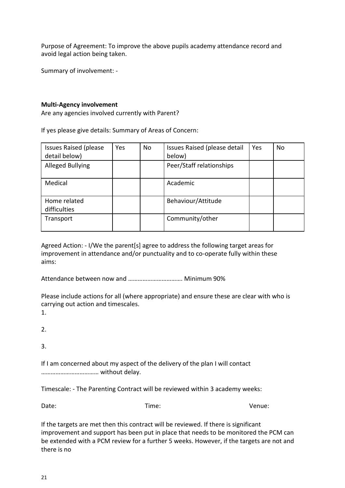Purpose of Agreement: To improve the above pupils academy attendance record and avoid legal action being taken.

Summary of involvement: -

### **Multi-Agency involvement**

Are any agencies involved currently with Parent?

If yes please give details: Summary of Areas of Concern:

| <b>Issues Raised (please</b><br>detail below) | Yes | No | Issues Raised (please detail<br>below) | Yes | No |
|-----------------------------------------------|-----|----|----------------------------------------|-----|----|
| <b>Alleged Bullying</b>                       |     |    | Peer/Staff relationships               |     |    |
| Medical                                       |     |    | Academic                               |     |    |
| Home related<br>difficulties                  |     |    | Behaviour/Attitude                     |     |    |
| Transport                                     |     |    | Community/other                        |     |    |

Agreed Action: - I/We the parent[s] agree to address the following target areas for improvement in attendance and/or punctuality and to co-operate fully within these aims:

Attendance between now and ……………………………. Minimum 90%

Please include actions for all (where appropriate) and ensure these are clear with who is carrying out action and timescales.

1.

2.

3.

If I am concerned about my aspect of the delivery of the plan I will contact ……………………………… without delay.

Timescale: - The Parenting Contract will be reviewed within 3 academy weeks:

Date: Contract Contract Contract Contract Contract Contract Contract Contract Contract Contract Contract Contract Contract Contract Contract Contract Contract Contract Contract Contract Contract Contract Contract Contract

If the targets are met then this contract will be reviewed. If there is significant improvement and support has been put in place that needs to be monitored the PCM can be extended with a PCM review for a further 5 weeks. However, if the targets are not and there is no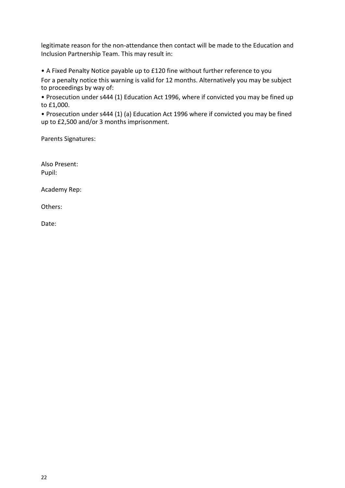legitimate reason for the non-attendance then contact will be made to the Education and Inclusion Partnership Team. This may result in:

• A Fixed Penalty Notice payable up to £120 fine without further reference to you For a penalty notice this warning is valid for 12 months. Alternatively you may be subject to proceedings by way of:

• Prosecution under s444 (1) Education Act 1996, where if convicted you may be fined up to £1,000.

• Prosecution under s444 (1) (a) Education Act 1996 where if convicted you may be fined up to £2,500 and/or 3 months imprisonment.

Parents Signatures:

Also Present: Pupil:

Academy Rep:

Others:

Date: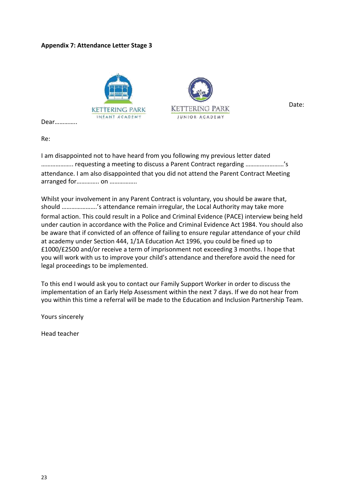## **Appendix 7: Attendance Letter Stage 3**



Date:

Dear…………..

Re:

I am disappointed not to have heard from you following my previous letter dated ……………….. requesting a meeting to discuss a Parent Contract regarding ……………………'s attendance. I am also disappointed that you did not attend the Parent Contract Meeting arranged for………….. on ……………..

Whilst your involvement in any Parent Contract is voluntary, you should be aware that, should ………………….'s attendance remain irregular, the Local Authority may take more formal action. This could result in a Police and Criminal Evidence (PACE) interview being held under caution in accordance with the Police and Criminal Evidence Act 1984. You should also be aware that if convicted of an offence of failing to ensure regular attendance of your child at academy under Section 444, 1/1A Education Act 1996, you could be fined up to £1000/£2500 and/or receive a term of imprisonment not exceeding 3 months. I hope that you will work with us to improve your child's attendance and therefore avoid the need for legal proceedings to be implemented.

To this end I would ask you to contact our Family Support Worker in order to discuss the implementation of an Early Help Assessment within the next 7 days. If we do not hear from you within this time a referral will be made to the Education and Inclusion Partnership Team.

Yours sincerely

Head teacher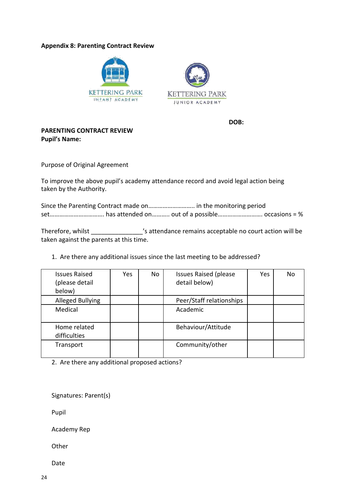#### **Appendix 8: Parenting Contract Review**





**DOB:**

## **PARENTING CONTRACT REVIEW Pupil's Name:**

Purpose of Original Agreement

To improve the above pupil's academy attendance record and avoid legal action being taken by the Authority.

| Since the Parenting Contract made on in the monitoring period |  |  |
|---------------------------------------------------------------|--|--|
|                                                               |  |  |

Therefore, whilst \_\_\_\_\_\_\_\_\_\_\_\_\_\_\_'s attendance remains acceptable no court action will be taken against the parents at this time.

1. Are there any additional issues since the last meeting to be addressed?

| <b>Issues Raised</b><br>(please detail<br>below) | Yes | No | <b>Issues Raised (please)</b><br>detail below) | Yes. | No |
|--------------------------------------------------|-----|----|------------------------------------------------|------|----|
| <b>Alleged Bullying</b>                          |     |    | Peer/Staff relationships                       |      |    |
| Medical                                          |     |    | Academic                                       |      |    |
| Home related<br>difficulties                     |     |    | Behaviour/Attitude                             |      |    |
| Transport                                        |     |    | Community/other                                |      |    |

2. Are there any additional proposed actions?

Signatures: Parent(s)

Pupil

Academy Rep

**Other** 

Date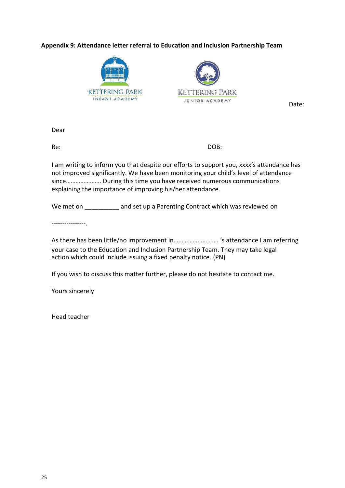## **Appendix 9: Attendance letter referral to Education and Inclusion Partnership Team**





Date:

Dear

Re: DOB:

I am writing to inform you that despite our efforts to support you, xxxx's attendance has not improved significantly. We have been monitoring your child's level of attendance since…………………. During this time you have received numerous communications explaining the importance of improving his/her attendance.

We met on **EXEC and set up a Parenting Contract which was reviewed on** 

----------------.

As there has been little/no improvement in………………………. 's attendance I am referring your case to the Education and Inclusion Partnership Team. They may take legal action which could include issuing a fixed penalty notice. (PN)

If you wish to discuss this matter further, please do not hesitate to contact me.

Yours sincerely

Head teacher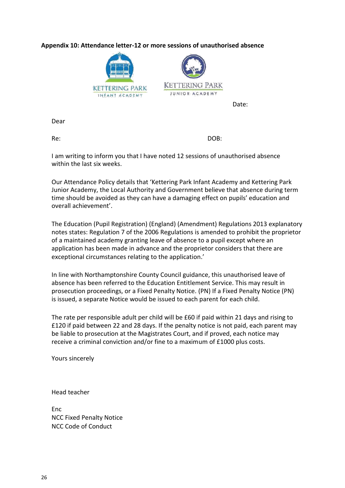## **Appendix 10: Attendance letter-12 or more sessions of unauthorised absence**



Dear

Re: DOB:

I am writing to inform you that I have noted 12 sessions of unauthorised absence within the last six weeks.

Our Attendance Policy details that 'Kettering Park Infant Academy and Kettering Park Junior Academy, the Local Authority and Government believe that absence during term time should be avoided as they can have a damaging effect on pupils' education and overall achievement'.

The Education (Pupil Registration) (England) (Amendment) Regulations 2013 explanatory notes states: Regulation 7 of the 2006 Regulations is amended to prohibit the proprietor of a maintained academy granting leave of absence to a pupil except where an application has been made in advance and the proprietor considers that there are exceptional circumstances relating to the application.'

In line with Northamptonshire County Council guidance, this unauthorised leave of absence has been referred to the Education Entitlement Service. This may result in prosecution proceedings, or a Fixed Penalty Notice. (PN) If a Fixed Penalty Notice (PN) is issued, a separate Notice would be issued to each parent for each child.

The rate per responsible adult per child will be £60 if paid within 21 days and rising to £120 if paid between 22 and 28 days. If the penalty notice is not paid, each parent may be liable to prosecution at the Magistrates Court, and if proved, each notice may receive a criminal conviction and/or fine to a maximum of £1000 plus costs.

Yours sincerely

Head teacher

Enc NCC Fixed Penalty Notice NCC Code of Conduct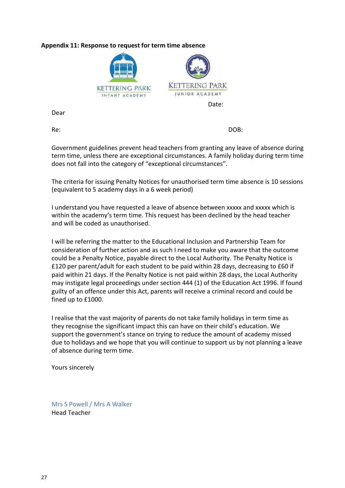## **Appendix 11: Response to request for term time absence**



Dear

Re: DOB:

Government guidelines prevent head teachers from granting any leave of absence during term time, unless there are exceptional circumstances. A family holiday during term time does not fall into the category of "exceptional circumstances".

The criteria for issuing Penalty Notices for unauthorised term time absence is 10 sessions (equivalent to 5 academy days in a 6 week period)

I understand you have requested a leave of absence between xxxxx and xxxxx which is within the academy's term time. This request has been declined by the head teacher and will be coded as unauthorised.

I will be referring the matter to the Educational Inclusion and Partnership Team for consideration of further action and as such I need to make you aware that the outcome could be a Penalty Notice, payable direct to the Local Authority. The Penalty Notice is £120 per parent/adult for each student to be paid within 28 days, decreasing to £60 if paid within 21 days. If the Penalty Notice is not paid within 28 days, the Local Authority may instigate legal proceedings under section 444 (1) of the Education Act 1996. If found guilty of an offence under this Act, parents will receive a criminal record and could be fined up to £1000.

I realise that the vast majority of parents do not take family holidays in term time as they recognise the significant impact this can have on their child's education. We support the government's stance on trying to reduce the amount of academy missed due to holidays and we hope that you will continue to support us by not planning a leave of absence during term time.

Yours sincerely

Mrs S Powell / Mrs A Walker Head Teacher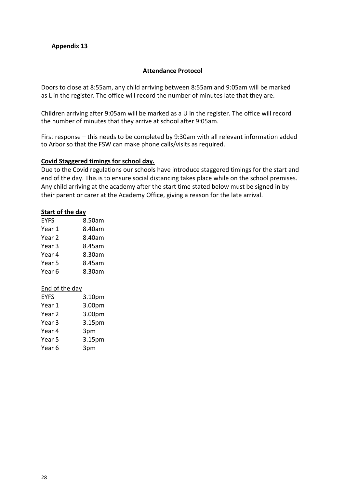## **Appendix 13**

#### **Attendance Protocol**

Doors to close at 8:55am, any child arriving between 8:55am and 9:05am will be marked as L in the register. The office will record the number of minutes late that they are.

Children arriving after 9:05am will be marked as a U in the register. The office will record the number of minutes that they arrive at school after 9:05am.

First response – this needs to be completed by 9:30am with all relevant information added to Arbor so that the FSW can make phone calls/visits as required.

#### **Covid Staggered timings for school day.**

Due to the Covid regulations our schools have introduce staggered timings for the start and end of the day. This is to ensure social distancing takes place while on the school premises. Any child arriving at the academy after the start time stated below must be signed in by their parent or carer at the Academy Office, giving a reason for the late arrival.

#### **Start of the day**

| 8.50am |
|--------|
| 8.40am |
| 8.40am |
| 8.45am |
| 8.30am |
| 8.45am |
| 8.30am |
|        |

#### End of the day

| <b>EYFS</b>       | 3.10pm |
|-------------------|--------|
| Year 1            | 3.00pm |
| Year <sub>2</sub> | 3.00pm |
| Year 3            | 3.15pm |
| Year 4            | 3pm    |
| Year 5            | 3.15pm |
| Year <sub>6</sub> | 3pm    |